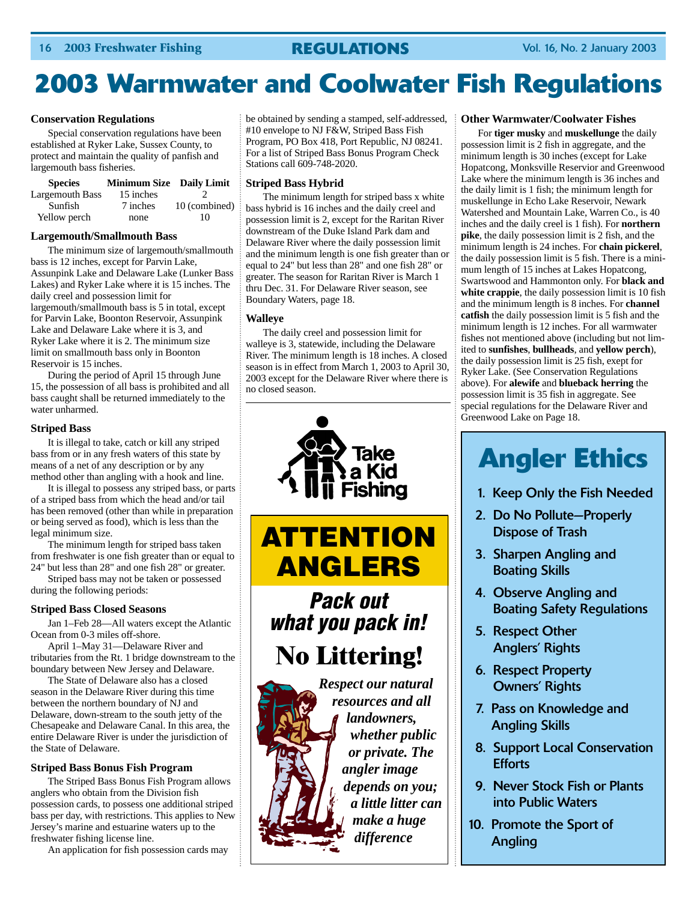# **2003 Warmwater and Coolwater Fish Regulations**

#### **Conservation Regulations**

Special conservation regulations have been established at Ryker Lake, Sussex County, to protect and maintain the quality of panfish and largemouth bass fisheries.

| <b>Species</b>         | <b>Minimum Size</b> Daily Limit | ÷                   |
|------------------------|---------------------------------|---------------------|
| <b>Largemouth Bass</b> | 15 inches                       |                     |
| Sunfish                | 7 inches                        | 10 (combined) $\pm$ |
| Yellow perch           | none                            | 10                  |

#### **Largemouth/Smallmouth Bass**

The minimum size of largemouth/smallmouth bass is 12 inches, except for Parvin Lake, Assunpink Lake and Delaware Lake (Lunker Bass Lakes) and Ryker Lake where it is 15 inches. The daily creel and possession limit for largemouth/smallmouth bass is 5 in total, except for Parvin Lake, Boonton Reservoir, Assunpink Lake and Delaware Lake where it is 3, and Ryker Lake where it is 2. The minimum size limit on smallmouth bass only in Boonton Reservoir is 15 inches.

During the period of April 15 through June 15, the possession of all bass is prohibited and all bass caught shall be returned immediately to the water unharmed.

#### **Striped Bass**

It is illegal to take, catch or kill any striped bass from or in any fresh waters of this state by means of a net of any description or by any method other than angling with a hook and line.

It is illegal to possess any striped bass, or parts of a striped bass from which the head and/or tail has been removed (other than while in preparation or being served as food), which is less than the legal minimum size.

The minimum length for striped bass taken from freshwater is one fish greater than or equal to 24" but less than 28" and one fish 28" or greater.

Striped bass may not be taken or possessed during the following periods:

#### **Striped Bass Closed Seasons**

Jan 1–Feb 28—All waters except the Atlantic Ocean from 0-3 miles off-shore.

April 1–May 31—Delaware River and tributaries from the Rt. 1 bridge downstream to the boundary between New Jersey and Delaware.

The State of Delaware also has a closed season in the Delaware River during this time between the northern boundary of NJ and Delaware, down-stream to the south jetty of the Chesapeake and Delaware Canal. In this area, the entire Delaware River is under the jurisdiction of the State of Delaware.

#### **Striped Bass Bonus Fish Program**

The Striped Bass Bonus Fish Program allows anglers who obtain from the Division fish possession cards, to possess one additional striped bass per day, with restrictions. This applies to New Jersey's marine and estuarine waters up to the freshwater fishing license line.

An application for fish possession cards may

be obtained by sending a stamped, self-addressed, #10 envelope to NJ F&W, Striped Bass Fish Program, PO Box 418, Port Republic, NJ 08241. For a list of Striped Bass Bonus Program Check Stations call 609-748-2020.

#### **Striped Bass Hybrid**

The minimum length for striped bass x white bass hybrid is 16 inches and the daily creel and possession limit is 2, except for the Raritan River downstream of the Duke Island Park dam and Delaware River where the daily possession limit and the minimum length is one fish greater than or equal to 24" but less than 28" and one fish 28" or greater. The season for Raritan River is March 1 thru Dec. 31. For Delaware River season, see Boundary Waters, page 18.

#### **Walleye**

The daily creel and possession limit for walleye is 3, statewide, including the Delaware River. The minimum length is 18 inches. A closed season is in effect from March 1, 2003 to April 30, 2003 except for the Delaware River where there is no closed season.





*Pack out what you pack in!*

**No Littering!**



*resources and all landowners, whether public or private. The angler image depends on you; a little litter can make a huge difference*

#### **Other Warmwater/Coolwater Fishes**

For **tiger musky** and **muskellunge** the daily possession limit is 2 fish in aggregate, and the minimum length is 30 inches (except for Lake Hopatcong, Monksville Reservior and Greenwood Lake where the minimum length is 36 inches and the daily limit is 1 fish; the minimum length for muskellunge in Echo Lake Reservoir, Newark Watershed and Mountain Lake, Warren Co., is 40 inches and the daily creel is 1 fish). For **northern pike**, the daily possession limit is 2 fish, and the minimum length is 24 inches. For **chain pickerel**, the daily possession limit is 5 fish. There is a minimum length of 15 inches at Lakes Hopatcong, Swartswood and Hammonton only. For **black and white crappie**, the daily possession limit is 10 fish and the minimum length is 8 inches. For **channel catfish** the daily possession limit is 5 fish and the minimum length is 12 inches. For all warmwater fishes not mentioned above (including but not limited to **sunfishes**, **bullheads**, and **yellow perch**), the daily possession limit is 25 fish, exept for Ryker Lake. (See Conservation Regulations above). For **alewife** and **blueback herring** the possession limit is 35 fish in aggregate. See special regulations for the Delaware River and Greenwood Lake on Page 18.

# **Angler Ethics**

- 1. Keep Only the Fish Needed
- 2. Do No Pollute—Properly Dispose of Trash
- 3. Sharpen Angling and Boating Skills
- 4. Observe Angling and Boating Safety Regulations
- 5. Respect Other Anglers' Rights
- 6. Respect Property Owners' Rights
- 7. Pass on Knowledge and Angling Skills
- 8. Support Local Conservation **Efforts**
- 9. Never Stock Fish or Plants into Public Waters
- 10. Promote the Sport of Angling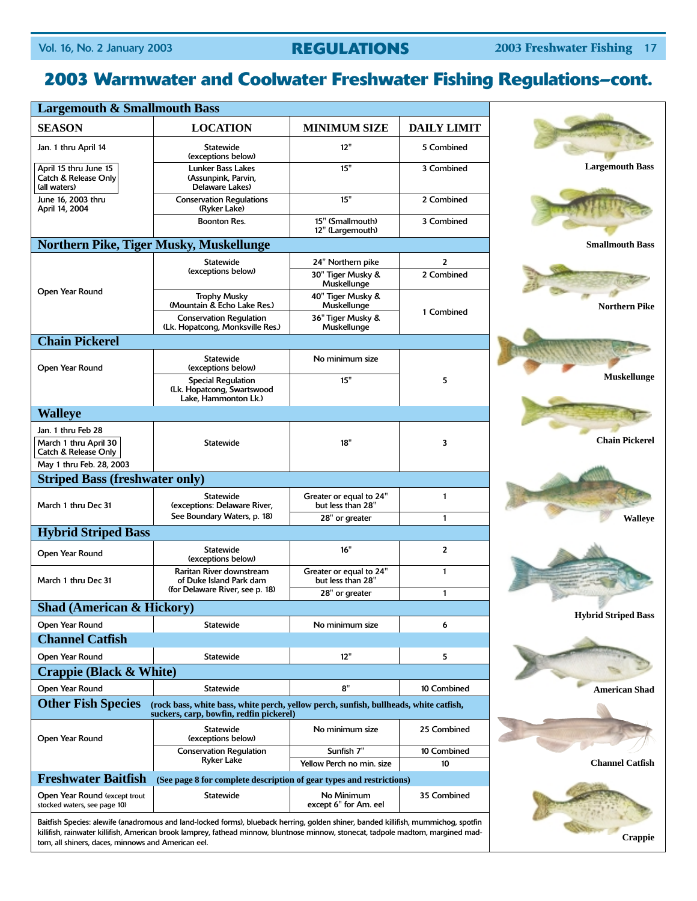## **2003 Warmwater and Coolwater Freshwater Fishing Regulations–cont.**

| <b>Largemouth &amp; Smallmouth Bass</b>                                                                                                                                                                                                                                                                                    |                                                                                 |                                              |                    |                            |
|----------------------------------------------------------------------------------------------------------------------------------------------------------------------------------------------------------------------------------------------------------------------------------------------------------------------------|---------------------------------------------------------------------------------|----------------------------------------------|--------------------|----------------------------|
| <b>SEASON</b>                                                                                                                                                                                                                                                                                                              | <b>LOCATION</b>                                                                 | <b>MINIMUM SIZE</b>                          | <b>DAILY LIMIT</b> |                            |
| Jan. 1 thru April 14                                                                                                                                                                                                                                                                                                       | <b>Statewide</b><br>(exceptions below)                                          | 12"                                          | 5 Combined         |                            |
| April 15 thru June 15<br>Catch & Release Only<br>(all waters)                                                                                                                                                                                                                                                              | <b>Lunker Bass Lakes</b><br>(Assunpink, Parvin,<br>Delaware Lakes)              | 15"                                          | 3 Combined         | <b>Largemouth Bass</b>     |
| June 16, 2003 thru<br>April 14, 2004                                                                                                                                                                                                                                                                                       | <b>Conservation Regulations</b><br>(Ryker Lake)                                 | 15"                                          | 2 Combined         |                            |
|                                                                                                                                                                                                                                                                                                                            | <b>Boonton Res.</b>                                                             | 15" (Smallmouth)<br>12" (Largemouth)         | 3 Combined         |                            |
|                                                                                                                                                                                                                                                                                                                            | Northern Pike, Tiger Musky, Muskellunge                                         |                                              |                    | <b>Smallmouth Bass</b>     |
|                                                                                                                                                                                                                                                                                                                            | <b>Statewide</b>                                                                | 24" Northern pike                            | $\overline{2}$     |                            |
|                                                                                                                                                                                                                                                                                                                            | (exceptions below)                                                              | 30" Tiger Musky &<br>Muskellunge             | 2 Combined         |                            |
| Open Year Round                                                                                                                                                                                                                                                                                                            | <b>Trophy Musky</b><br>(Mountain & Echo Lake Res.)                              | 40" Tiger Musky &<br>Muskellunge             |                    | <b>Northern Pike</b>       |
|                                                                                                                                                                                                                                                                                                                            | <b>Conservation Regulation</b><br>(Lk. Hopatcong, Monksville Res.)              | 36" Tiger Musky &<br>Muskellunge             | 1 Combined         |                            |
| <b>Chain Pickerel</b>                                                                                                                                                                                                                                                                                                      |                                                                                 |                                              |                    |                            |
| Open Year Round                                                                                                                                                                                                                                                                                                            | <b>Statewide</b><br>(exceptions below)                                          | No minimum size                              |                    |                            |
|                                                                                                                                                                                                                                                                                                                            | <b>Special Regulation</b><br>(Lk. Hopatcong, Swartswood<br>Lake, Hammonton Lk.) | 15"                                          | 5                  | <b>Muskellunge</b>         |
| <b>Walleye</b>                                                                                                                                                                                                                                                                                                             |                                                                                 |                                              |                    |                            |
| Jan. 1 thru Feb 28                                                                                                                                                                                                                                                                                                         |                                                                                 |                                              |                    |                            |
| March 1 thru April 30<br>Catch & Release Only                                                                                                                                                                                                                                                                              | <b>Statewide</b>                                                                | 18"                                          | 3                  | <b>Chain Pickerel</b>      |
| May 1 thru Feb. 28, 2003                                                                                                                                                                                                                                                                                                   |                                                                                 |                                              |                    |                            |
| <b>Striped Bass (freshwater only)</b>                                                                                                                                                                                                                                                                                      |                                                                                 |                                              |                    |                            |
| March 1 thru Dec 31                                                                                                                                                                                                                                                                                                        | <b>Statewide</b><br>(exceptions: Delaware River,                                | Greater or equal to 24"<br>but less than 28" | $\mathbf{1}$       |                            |
|                                                                                                                                                                                                                                                                                                                            | See Boundary Waters, p. 18)                                                     | 28" or greater                               | $\mathbf{1}$       | <b>Walleye</b>             |
| <b>Hybrid Striped Bass</b>                                                                                                                                                                                                                                                                                                 |                                                                                 |                                              |                    |                            |
| Open Year Round                                                                                                                                                                                                                                                                                                            | <b>Statewide</b><br>(exceptions below)                                          | 16"                                          | 2                  |                            |
| March 1 thru Dec 31                                                                                                                                                                                                                                                                                                        | Raritan River downstream<br>of Duke Island Park dam                             | Greater or equal to 24"<br>but less than 28" | $\mathbf{1}$       |                            |
|                                                                                                                                                                                                                                                                                                                            | (for Delaware River, see p. 18)                                                 | 28" or greater                               | $\mathbf{1}$       |                            |
| <b>Shad (American &amp; Hickory)</b>                                                                                                                                                                                                                                                                                       |                                                                                 |                                              |                    | <b>Hybrid Striped Bass</b> |
| Open Year Round                                                                                                                                                                                                                                                                                                            | <b>Statewide</b>                                                                | No minimum size                              | 6                  |                            |
| <b>Channel Catfish</b>                                                                                                                                                                                                                                                                                                     |                                                                                 |                                              |                    |                            |
| Open Year Round                                                                                                                                                                                                                                                                                                            | <b>Statewide</b>                                                                | 12"                                          | 5                  |                            |
| <b>Crappie (Black &amp; White)</b>                                                                                                                                                                                                                                                                                         |                                                                                 |                                              |                    |                            |
| Open Year Round                                                                                                                                                                                                                                                                                                            | <b>Statewide</b>                                                                | 8"                                           | 10 Combined        | American Shad              |
| <b>Other Fish Species</b><br>(rock bass, white bass, white perch, yellow perch, sunfish, bullheads, white catfish,<br>suckers, carp, bowfin, redfin pickerel)                                                                                                                                                              |                                                                                 |                                              |                    |                            |
| Open Year Round                                                                                                                                                                                                                                                                                                            | <b>Statewide</b><br>(exceptions below)                                          | No minimum size                              | 25 Combined        |                            |
|                                                                                                                                                                                                                                                                                                                            | <b>Conservation Requlation</b><br>Ryker Lake                                    | Sunfish 7"<br>Yellow Perch no min. size      | 10 Combined<br>10  | <b>Channel Catfish</b>     |
| <b>Freshwater Baitfish</b>                                                                                                                                                                                                                                                                                                 | (See page 8 for complete description of gear types and restrictions)            |                                              |                    |                            |
| Open Year Round (except trout<br>stocked waters, see page 10)                                                                                                                                                                                                                                                              | <b>Statewide</b>                                                                | No Minimum<br>except 6" for Am. eel          | 35 Combined        |                            |
| Baitfish Species: alewife (anadromous and land-locked forms), blueback herring, golden shiner, banded killifish, mummichog, spotfin<br>killifish, rainwater killifish, American brook lamprey, fathead minnow, bluntnose minnow, stonecat, tadpole madtom, margined mad-<br>tom all shiners daces minnows and American eel |                                                                                 |                                              |                    | Crappie                    |

tom, all shiners, daces, minnows and American eel.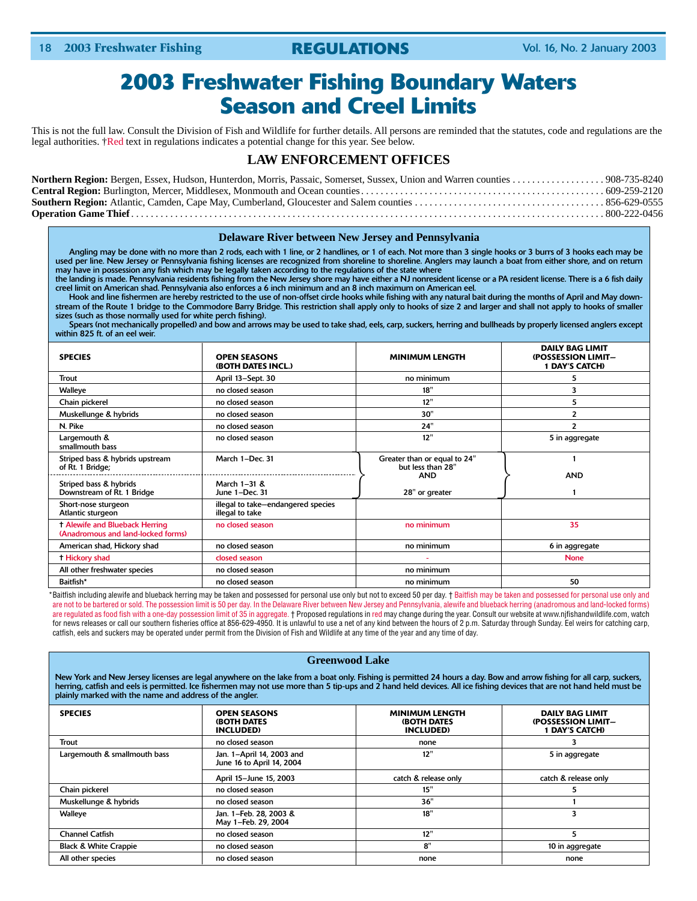## **2003 Freshwater Fishing Boundary Waters Season and Creel Limits**

This is not the full law. Consult the Division of Fish and Wildlife for further details. All persons are reminded that the statutes, code and regulations are the legal authorities. †Red text in regulations indicates a potential change for this year. See below.

### **LAW ENFORCEMENT OFFICES**

#### **Delaware River between New Jersey and Pennsylvania**

Angling may be done with no more than 2 rods, each with 1 line, or 2 handlines, or 1 of each. Not more than 3 single hooks or 3 burrs of 3 hooks each may be used per line. New Jersey or Pennsylvania fishing licenses are recognized from shoreline to shoreline. Anglers may launch a boat from either shore, and on return may have in possession any fish which may be legally taken according to the regulations of the state where

the landing is made. Pennsylvania residents fishing from the New Jersey shore may have either a NJ nonresident license or a PA resident license. There is a 6 fish daily creel limit on American shad. Pennsylvania also enforces a 6 inch minimum and an 8 inch maximum on American eel.

Hook and line fishermen are hereby restricted to the use of non-offset circle hooks while fishing with any natural bait during the months of April and May downstream of the Route 1 bridge to the Commodore Barry Bridge. This restriction shall apply only to hooks of size 2 and larger and shall not apply to hooks of smaller sizes (such as those normally used for white perch fishing).

Spears (not mechanically propelled) and bow and arrows may be used to take shad, eels, carp, suckers, herring and bullheads by properly licensed anglers except within 825 ft. of an eel weir.

| <b>SPECIES</b>                                                              | <b>OPEN SEASONS</b><br>(BOTH DATES INCL.)             | <b>MINIMUM LENGTH</b>                             | <b>DAILY BAG LIMIT</b><br>(POSSESSION LIMIT-<br><b>1 DAY'S CATCH)</b> |
|-----------------------------------------------------------------------------|-------------------------------------------------------|---------------------------------------------------|-----------------------------------------------------------------------|
| Trout                                                                       | April 13-Sept. 30                                     | no minimum                                        | 5                                                                     |
| <b>Walleye</b>                                                              | no closed season                                      | 18"                                               | 3                                                                     |
| Chain pickerel                                                              | no closed season                                      | 12"                                               | 5                                                                     |
| Muskellunge & hybrids                                                       | no closed season                                      | 30"                                               | $\overline{2}$                                                        |
| N. Pike                                                                     | no closed season                                      | 24"                                               | $\overline{\phantom{a}}$                                              |
| Largemouth &<br>smallmouth bass                                             | no closed season                                      | 12"                                               | 5 in aggregate                                                        |
| Striped bass & hybrids upstream<br>of Rt. 1 Bridge;                         | March 1-Dec. 31                                       | Greater than or equal to 24"<br>but less than 28" |                                                                       |
| Striped bass & hybrids<br>Downstream of Rt. 1 Bridge                        | March 1-31 &<br>June 1-Dec. 31                        | <b>AND</b><br>28" or greater                      | <b>AND</b>                                                            |
| Short-nose sturgeon<br>Atlantic sturgeon                                    | illegal to take-endangered species<br>illegal to take |                                                   |                                                                       |
| <b>T Alewife and Blueback Herring</b><br>(Anadromous and land-locked forms) | no closed season                                      | no minimum                                        | 35                                                                    |
| American shad, Hickory shad                                                 | no closed season                                      | no minimum                                        | 6 in aggregate                                                        |
| <b>Hickory shad</b>                                                         | closed season                                         |                                                   | <b>None</b>                                                           |
| All other freshwater species                                                | no closed season                                      | no minimum                                        |                                                                       |
| Baitfish*                                                                   | no closed season                                      | no minimum                                        | 50                                                                    |

\*Baitfish including alewife and blueback herring may be taken and possessed for personal use only but not to exceed 50 per day. † Baitfish may be taken and possessed for personal use only and are not to be bartered or sold. The possession limit is 50 per day. In the Delaware River between New Jersey and Pennsylvania, alewife and blueback herring (anadromous and land-locked forms) are regulated as food fish with a one-day possession limit of 35 in aggregate. † Proposed regulations in red may change during the year. Consult our website at www.njfishandwildlife.com, watch for news releases or call our southern fisheries office at 856-629-4950. It is unlawful to use a net of any kind between the hours of 2 p.m. Saturday through Sunday. Eel weirs for catching carp, catfish, eels and suckers may be operated under permit from the Division of Fish and Wildlife at any time of the year and any time of day.

#### **Greenwood Lake**

New York and New Jersey licenses are legal anywhere on the lake from a boat only. Fishing is permitted 24 hours a day. Bow and arrow fishing for all carp, suckers, herring, catfish and eels is permitted. Ice fishermen may not use more than 5 tip-ups and 2 hand held devices. All ice fishing devices that are not hand held must be plainly marked with the name and address of the angler.

| <b>SPECIES</b>                   | <b>OPEN SEASONS</b><br><b>(BOTH DATES)</b><br><b>INCLUDED</b> | <b>MINIMUM LENGTH</b><br><b>(BOTH DATES)</b><br><b>INCLUDED</b> | <b>DAILY BAG LIMIT</b><br>(POSSESSION LIMIT-<br>1 DAY'S CATCH) |
|----------------------------------|---------------------------------------------------------------|-----------------------------------------------------------------|----------------------------------------------------------------|
| Trout                            | no closed season                                              | none                                                            |                                                                |
| Largemouth & smallmouth bass     | Jan. 1-April 14, 2003 and<br>June 16 to April 14, 2004        | 12"                                                             | 5 in aggregate                                                 |
|                                  | April 15-June 15, 2003                                        | catch & release only                                            | catch & release only                                           |
| Chain pickerel                   | no closed season                                              | 15"                                                             |                                                                |
| Muskellunge & hybrids            | no closed season                                              | 36"                                                             |                                                                |
| Walleye                          | Jan. 1-Feb. 28, 2003 &<br>May 1-Feb. 29, 2004                 | 18"                                                             | 3                                                              |
| <b>Channel Catfish</b>           | no closed season                                              | 12"                                                             | 5                                                              |
| <b>Black &amp; White Crappie</b> | no closed season                                              | 8"                                                              | 10 in aggregate                                                |
| All other species                | no closed season                                              | none                                                            | none                                                           |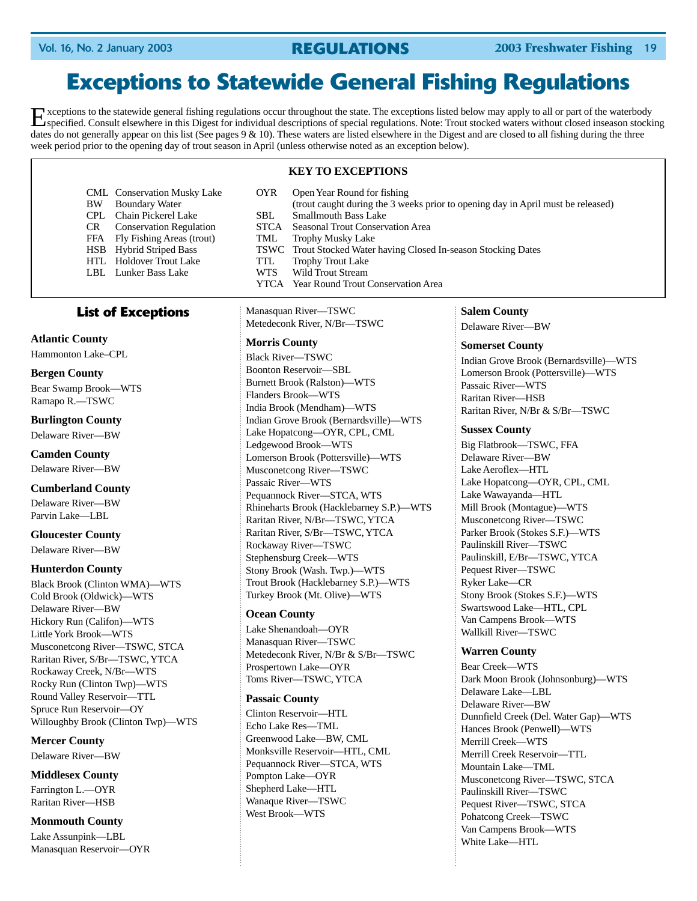## **Exceptions to Statewide General Fishing Regulations**

Exceptions to the statewide general fishing regulations occur throughout the state. The exceptions listed below may apply to all or part of the waterbody specified. Consult elsewhere in this Digest for individual descripti dates do not generally appear on this list (See pages  $9 \& 10$ ). These waters are listed elsewhere in the Digest and are closed to all fishing during the three week period prior to the opening day of trout season in April (unless otherwise noted as an exception below).

#### **KEY TO EXCEPTIONS**

CML Conservation Musky Lake OYR Open Year Round for fishing BW Boundary Water (trout caught during the 3 weeks prior to opening day in April must be released) CPL Chain Pickerel Lake SBL Smallmouth Bass Lake CR Conservation Regulation STCA Seasonal Trout Conservation Area FFA Fly Fishing Areas (trout) TML Trophy Musky Lake<br>
HSB Hybrid Striped Bass TSWC Trout Stocked Water Trout Stocked Water having Closed In-season Stocking Dates Trophy Trout Lake HTL Holdover Trout Lake TTL LBL Lunker Bass Lake WTS Wild Trout Stream YTCA Year Round Trout Conservation Area

#### **List of Exceptions**

**Atlantic County** Hammonton Lake–CPL

**Bergen County** Bear Swamp Brook—WTS Ramapo R.—TSWC

**Burlington County** Delaware River—BW

**Camden County** Delaware River—BW

#### **Cumberland County**

Delaware River—BW Parvin Lake—LBL

**Gloucester County** Delaware River—BW

#### **Hunterdon County**

Black Brook (Clinton WMA)—WTS Cold Brook (Oldwick)—WTS Delaware River—BW Hickory Run (Califon)—WTS Little York Brook—WTS Musconetcong River—TSWC, STCA Raritan River, S/Br—TSWC, YTCA Rockaway Creek, N/Br—WTS Rocky Run (Clinton Twp)—WTS Round Valley Reservoir—TTL Spruce Run Reservoir—OY Willoughby Brook (Clinton Twp)—WTS

**Mercer County**

Delaware River—BW

#### **Middlesex County**

Farrington L.—OYR Raritan River—HSB

#### **Monmouth County**

Lake Assunpink—LBL Manasquan Reservoir—OYR Manasquan River—TSWC Metedeconk River, N/Br—TSWC

#### **Morris County**

Black River—TSWC Boonton Reservoir—SBL Burnett Brook (Ralston)—WTS Flanders Brook—WTS India Brook (Mendham)—WTS Indian Grove Brook (Bernardsville)—WTS Lake Hopatcong—OYR, CPL, CML Ledgewood Brook—WTS Lomerson Brook (Pottersville)—WTS Musconetcong River—TSWC Passaic River—WTS Pequannock River—STCA, WTS Rhineharts Brook (Hacklebarney S.P.)—WTS Raritan River, N/Br—TSWC, YTCA Raritan River, S/Br—TSWC, YTCA Rockaway River—TSWC Stephensburg Creek—WTS Stony Brook (Wash. Twp.)—WTS Trout Brook (Hacklebarney S.P.)—WTS Turkey Brook (Mt. Olive)—WTS

#### **Ocean County**

Lake Shenandoah—OYR Manasquan River—TSWC Metedeconk River, N/Br & S/Br—TSWC Prospertown Lake—OYR Toms River—TSWC, YTCA

#### **Passaic County**

Clinton Reservoir—HTL Echo Lake Res—TML Greenwood Lake—BW, CML Monksville Reservoir—HTL, CML Pequannock River—STCA, WTS Pompton Lake—OYR Shepherd Lake—HTL Wanaque River—TSWC West Brook—WTS

#### **Salem County**

Delaware River—BW

#### **Somerset County**

Indian Grove Brook (Bernardsville)—WTS Lomerson Brook (Pottersville)—WTS Passaic River—WTS Raritan River—HSB Raritan River, N/Br & S/Br—TSWC

#### **Sussex County**

Big Flatbrook—TSWC, FFA Delaware River—BW Lake Aeroflex—HTL Lake Hopatcong—OYR, CPL, CML Lake Wawayanda—HTL Mill Brook (Montague)—WTS Musconetcong River—TSWC Parker Brook (Stokes S.F.)—WTS Paulinskill River—TSWC Paulinskill, E/Br—TSWC, YTCA Pequest River—TSWC Ryker Lake—CR Stony Brook (Stokes S.F.)—WTS Swartswood Lake—HTL, CPL Van Campens Brook—WTS Wallkill River—TSWC

#### **Warren County**

Bear Creek—WTS Dark Moon Brook (Johnsonburg)—WTS Delaware Lake—LBL Delaware River—BW Dunnfield Creek (Del. Water Gap)—WTS Hances Brook (Penwell)—WTS Merrill Creek—WTS Merrill Creek Reservoir—TTL Mountain Lake—TML Musconetcong River—TSWC, STCA Paulinskill River—TSWC Pequest River—TSWC, STCA Pohatcong Creek—TSWC Van Campens Brook—WTS White Lake—HTL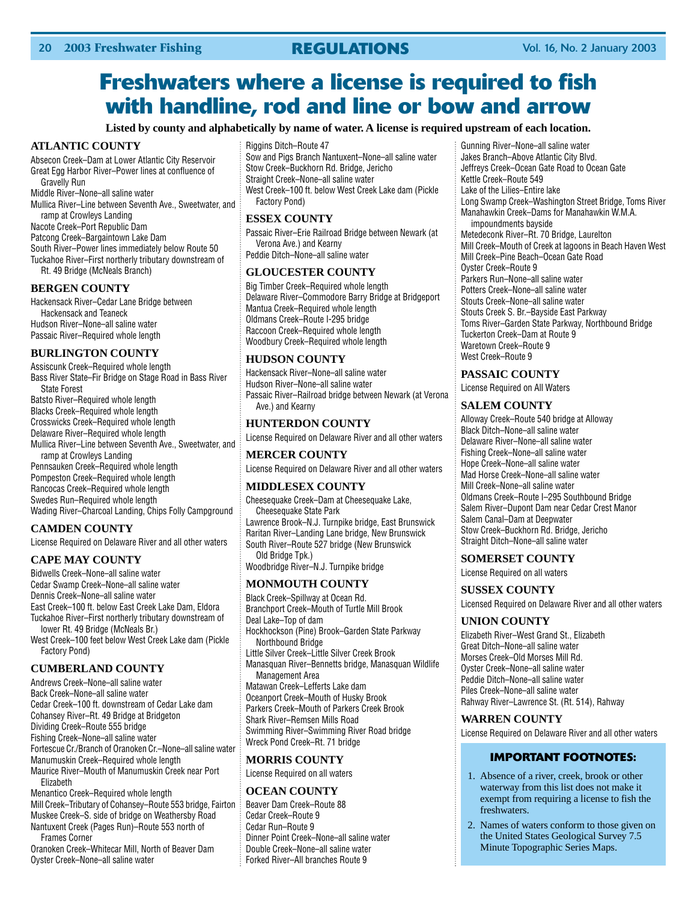## **Freshwaters where a license is required to fish with handline, rod and line or bow and arrow**

**Listed by county and alphabetically by name of water. A license is required upstream of each location.**

#### **ATLANTIC COUNTY**

Absecon Creek–Dam at Lower Atlantic City Reservoir Great Egg Harbor River–Power lines at confluence of Gravelly Run Middle River–None–all saline water Mullica River–Line between Seventh Ave., Sweetwater, and ramp at Crowleys Landing Nacote Creek–Port Republic Dam Patcong Creek–Bargaintown Lake Dam South River–Power lines immediately below Route 50 Tuckahoe River–First northerly tributary downstream of

Rt. 49 Bridge (McNeals Branch)

#### **BERGEN COUNTY**

Hackensack River–Cedar Lane Bridge between Hackensack and Teaneck Hudson River–None–all saline water Passaic River–Required whole length

#### **BURLINGTON COUNTY**

Assiscunk Creek–Required whole length Bass River State–Fir Bridge on Stage Road in Bass River State Forest Batsto River–Required whole length Blacks Creek–Required whole length Crosswicks Creek–Required whole length Delaware River–Required whole length Mullica River–Line between Seventh Ave., Sweetwater, and ramp at Crowleys Landing Pennsauken Creek–Required whole length Pompeston Creek–Required whole length Rancocas Creek–Required whole length Swedes Run–Required whole length

Wading River–Charcoal Landing, Chips Folly Campground

### **CAMDEN COUNTY**

License Required on Delaware River and all other waters

#### **CAPE MAY COUNTY**

Bidwells Creek–None–all saline water Cedar Swamp Creek–None–all saline water Dennis Creek–None–all saline water East Creek–100 ft. below East Creek Lake Dam, Eldora Tuckahoe River–First northerly tributary downstream of lower Rt. 49 Bridge (McNeals Br.) West Creek–100 feet below West Creek Lake dam (Pickle Factory Pond)

#### **CUMBERLAND COUNTY**

Andrews Creek–None–all saline water Back Creek–None–all saline water Cedar Creek–100 ft. downstream of Cedar Lake dam Cohansey River–Rt. 49 Bridge at Bridgeton Dividing Creek–Route 555 bridge Fishing Creek–None–all saline water Fortescue Cr./Branch of Oranoken Cr.–None–all saline water Manumuskin Creek–Required whole length Maurice River–Mouth of Manumuskin Creek near Port Elizabeth Menantico Creek–Required whole length Mill Creek–Tributary of Cohansey–Route 553 bridge, Fairton Muskee Creek–S. side of bridge on Weathersby Road

Nantuxent Creek (Pages Run)–Route 553 north of Frames Corner

Oranoken Creek–Whitecar Mill, North of Beaver Dam Oyster Creek–None–all saline water

#### Riggins Ditch–Route 47

Sow and Pigs Branch Nantuxent–None–all saline water Stow Creek–Buckhorn Rd. Bridge, Jericho Straight Creek–None–all saline water West Creek–100 ft. below West Creek Lake dam (Pickle Factory Pond)

#### **ESSEX COUNTY**

Passaic River–Erie Railroad Bridge between Newark (at Verona Ave.) and Kearny Peddie Ditch–None–all saline water

#### **GLOUCESTER COUNTY**

Big Timber Creek–Required whole length Delaware River–Commodore Barry Bridge at Bridgeport Mantua Creek–Required whole length Oldmans Creek–Route I-295 bridge Raccoon Creek–Required whole length Woodbury Creek–Required whole length

#### **HUDSON COUNTY**

Hackensack River–None–all saline water Hudson River–None–all saline water Passaic River–Railroad bridge between Newark (at Verona Ave.) and Kearny

#### **HUNTERDON COUNTY**

License Required on Delaware River and all other waters

#### **MERCER COUNTY**

License Required on Delaware River and all other waters

#### **MIDDLESEX COUNTY**

Cheesequake Creek–Dam at Cheesequake Lake, Cheesequake State Park Lawrence Brook–N.J. Turnpike bridge, East Brunswick

Raritan River–Landing Lane bridge, New Brunswick South River–Route 527 bridge (New Brunswick Old Bridge Tpk.) Woodbridge River–N.J. Turnpike bridge

#### **MONMOUTH COUNTY**

Black Creek–Spillway at Ocean Rd. Branchport Creek–Mouth of Turtle Mill Brook Deal Lake–Top of dam Hockhockson (Pine) Brook–Garden State Parkway Northbound Bridge Little Silver Creek–Little Silver Creek Brook Manasquan River–Bennetts bridge, Manasquan Wildlife Management Area Matawan Creek–Lefferts Lake dam Oceanport Creek–Mouth of Husky Brook Parkers Creek–Mouth of Parkers Creek Brook Shark River–Remsen Mills Road

Swimming River–Swimming River Road bridge Wreck Pond Creek–Rt. 71 bridge

#### **MORRIS COUNTY**

License Required on all waters

#### **OCEAN COUNTY**

Beaver Dam Creek–Route 88 Cedar Creek–Route 9 Cedar Run–Route 9 Dinner Point Creek–None–all saline water Double Creek–None–all saline water Forked River–All branches Route 9

Gunning River–None–all saline water Jakes Branch–Above Atlantic City Blvd. Jeffreys Creek–Ocean Gate Road to Ocean Gate Kettle Creek–Route 549 Lake of the Lilies–Entire lake Long Swamp Creek–Washington Street Bridge, Toms River Manahawkin Creek–Dams for Manahawkin W.M.A. impoundments bayside Metedeconk River–Rt. 70 Bridge, Laurelton Mill Creek–Mouth of Creek at lagoons in Beach Haven West Mill Creek–Pine Beach–Ocean Gate Road Oyster Creek–Route 9 Parkers Run–None–all saline water Potters Creek–None–all saline water Stouts Creek–None–all saline water Stouts Creek S. Br.–Bayside East Parkway Toms River–Garden State Parkway, Northbound Bridge Tuckerton Creek–Dam at Route 9 Waretown Creek–Route 9 West Creek–Route 9

#### **PASSAIC COUNTY**

License Required on All Waters

#### **SALEM COUNTY**

Alloway Creek–Route 540 bridge at Alloway Black Ditch–None–all saline water Delaware River–None–all saline water Fishing Creek–None–all saline water Hope Creek–None–all saline water Mad Horse Creek–None–all saline water Mill Creek–None–all saline water Oldmans Creek–Route I–295 Southbound Bridge Salem River–Dupont Dam near Cedar Crest Manor Salem Canal–Dam at Deepwater Stow Creek–Buckhorn Rd. Bridge, Jericho Straight Ditch–None–all saline water

#### **SOMERSET COUNTY**

License Required on all waters

#### **SUSSEX COUNTY**

Licensed Required on Delaware River and all other waters

#### **UNION COUNTY**

Elizabeth River–West Grand St., Elizabeth Great Ditch–None–all saline water Morses Creek–Old Morses Mill Rd. Oyster Creek–None–all saline water Peddie Ditch–None–all saline water Piles Creek–None–all saline water Rahway River–Lawrence St. (Rt. 514), Rahway

#### **WARREN COUNTY**

License Required on Delaware River and all other waters

### **IMPORTANT FOOTNOTES:**

- 1. Absence of a river, creek, brook or other waterway from this list does not make it exempt from requiring a license to fish the **freshwaters**
- 2. Names of waters conform to those given on the United States Geological Survey 7.5 Minute Topographic Series Maps.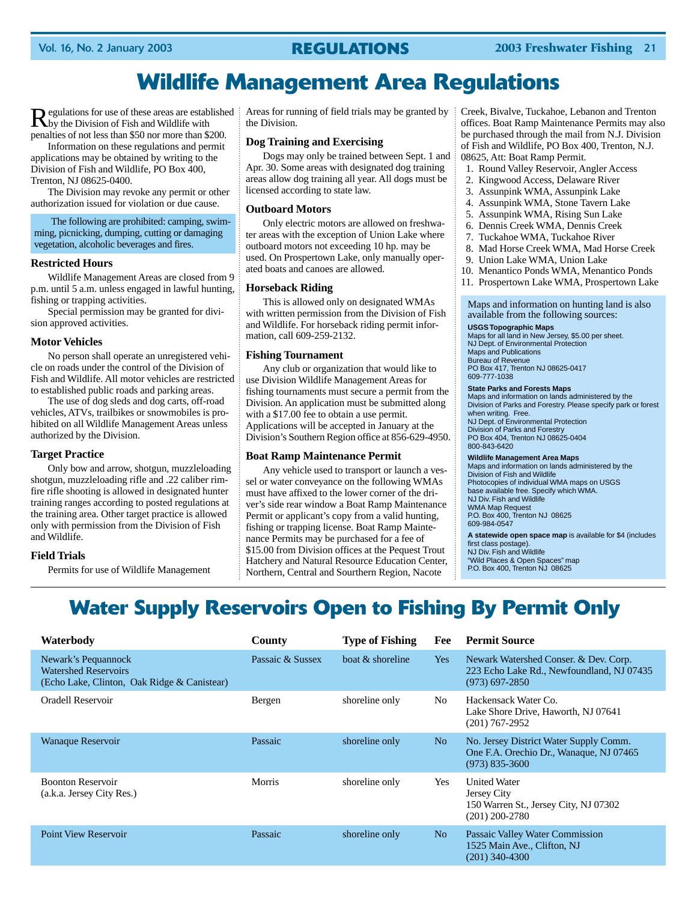## **Wildlife Management Area Regulations**

Regulations for use of these areas are established by the Division of Fish and Wildlife with penalties of not less than \$50 nor more than \$200.

Information on these regulations and permit applications may be obtained by writing to the Division of Fish and Wildlife, PO Box 400, Trenton, NJ 08625-0400.

The Division may revoke any permit or other authorization issued for violation or due cause.

The following are prohibited: camping, swimming, picnicking, dumping, cutting or damaging vegetation, alcoholic beverages and fires.

#### **Restricted Hours**

Wildlife Management Areas are closed from 9 p.m. until 5 a.m. unless engaged in lawful hunting, fishing or trapping activities.

Special permission may be granted for division approved activities.

#### **Motor Vehicles**

No person shall operate an unregistered vehicle on roads under the control of the Division of Fish and Wildlife. All motor vehicles are restricted to established public roads and parking areas.

The use of dog sleds and dog carts, off-road vehicles, ATVs, trailbikes or snowmobiles is prohibited on all Wildlife Management Areas unless authorized by the Division.

#### **Target Practice**

Only bow and arrow, shotgun, muzzleloading shotgun, muzzleloading rifle and .22 caliber rimfire rifle shooting is allowed in designated hunter training ranges according to posted regulations at the training area. Other target practice is allowed only with permission from the Division of Fish and Wildlife.

#### **Field Trials**

Permits for use of Wildlife Management

Areas for running of field trials may be granted by the Division.

#### **Dog Training and Exercising**

Dogs may only be trained between Sept. 1 and Apr. 30. Some areas with designated dog training areas allow dog training all year. All dogs must be licensed according to state law.

#### **Outboard Motors**

Only electric motors are allowed on freshwater areas with the exception of Union Lake where outboard motors not exceeding 10 hp. may be used. On Prospertown Lake, only manually operated boats and canoes are allowed.

#### **Horseback Riding**

This is allowed only on designated WMAs with written permission from the Division of Fish and Wildlife. For horseback riding permit information, call 609-259-2132.

#### **Fishing Tournament**

Any club or organization that would like to use Division Wildlife Management Areas for fishing tournaments must secure a permit from the Division. An application must be submitted along with a \$17.00 fee to obtain a use permit. Applications will be accepted in January at the Division's Southern Region office at 856-629-4950.

#### **Boat Ramp Maintenance Permit**

Any vehicle used to transport or launch a vessel or water conveyance on the following WMAs must have affixed to the lower corner of the driver's side rear window a Boat Ramp Maintenance Permit or applicant's copy from a valid hunting, fishing or trapping license. Boat Ramp Maintenance Permits may be purchased for a fee of \$15.00 from Division offices at the Pequest Trout Hatchery and Natural Resource Education Center, Northern, Central and Sourthern Region, Nacote

Creek, Bivalve, Tuckahoe, Lebanon and Trenton offices. Boat Ramp Maintenance Permits may also be purchased through the mail from N.J. Division of Fish and Wildlife, PO Box 400, Trenton, N.J. 08625, Att: Boat Ramp Permit.

- 1. Round Valley Reservoir, Angler Access
- 2. Kingwood Access, Delaware River
- 3. Assunpink WMA, Assunpink Lake
- 4. Assunpink WMA, Stone Tavern Lake
- 5. Assunpink WMA, Rising Sun Lake
- 6. Dennis Creek WMA, Dennis Creek
- 7. Tuckahoe WMA, Tuckahoe River
- 8. Mad Horse Creek WMA, Mad Horse Creek
- 9. Union Lake WMA, Union Lake
- 10. Menantico Ponds WMA, Menantico Ponds
- 11. Prospertown Lake WMA, Prospertown Lake

Maps and information on hunting land is also available from the following sources:

#### **USGS Topographic Maps**

Maps for all land in New Jersey, \$5.00 per sheet. NJ Dept. of Environmental Protection Maps and Publications Bureau of Revenue PO Box 417, Trenton NJ 08625-0417 609-777-1038

#### **State Parks and Forests Maps**

Maps and information on lands administered by the Division of Parks and Forestry. Please specify park or forest when writing. Free. NJ Dept. of Environmental Protection Division of Parks and Forestry PO Box 404, Trenton NJ 08625-0404 800-843-6420

**Wildlife Management Area Maps** Maps and information on lands administered by the Division of Fish and Wildlife Photocopies of individual WMA maps on USGS base available free. Specify which WMA. NJ Div. Fish and Wildlife WMA Map Request P.O. Box 400, Trenton NJ 08625 609-984-0547

**A statewide open space map** is available for \$4 (includes first class postage). NJ Div. Fish and Wildlife "Wild Places & Open Spaces" map P.O. Box 400, Trenton NJ 08625

## **Water Supply Reservoirs Open to Fishing By Permit Only**

| Waterbody                                                                                         | County           | <b>Type of Fishing</b> | Fee            | <b>Permit Source</b>                                                                                    |
|---------------------------------------------------------------------------------------------------|------------------|------------------------|----------------|---------------------------------------------------------------------------------------------------------|
| Newark's Pequannock<br><b>Watershed Reservoirs</b><br>(Echo Lake, Clinton, Oak Ridge & Canistear) | Passaic & Sussex | boat & shoreline       | Yes            | Newark Watershed Conser. & Dev. Corp.<br>223 Echo Lake Rd., Newfoundland, NJ 07435<br>$(973)$ 697-2850  |
| Oradell Reservoir                                                                                 | Bergen           | shoreline only         | No             | Hackensack Water Co.<br>Lake Shore Drive, Haworth, NJ 07641<br>$(201)$ 767-2952                         |
| <b>Wanaque Reservoir</b>                                                                          | Passaic          | shoreline only         | N <sub>o</sub> | No. Jersey District Water Supply Comm.<br>One F.A. Orechio Dr., Wanaque, NJ 07465<br>$(973) 835 - 3600$ |
| <b>Boonton Reservoir</b><br>(a.k.a. Jersey City Res.)                                             | <b>Morris</b>    | shoreline only         | Yes            | <b>United Water</b><br><b>Jersey City</b><br>150 Warren St., Jersey City, NJ 07302<br>$(201)$ 200-2780  |
| <b>Point View Reservoir</b>                                                                       | Passaic          | shoreline only         | N <sub>o</sub> | Passaic Valley Water Commission<br>1525 Main Ave., Clifton, NJ<br>$(201)$ 340-4300                      |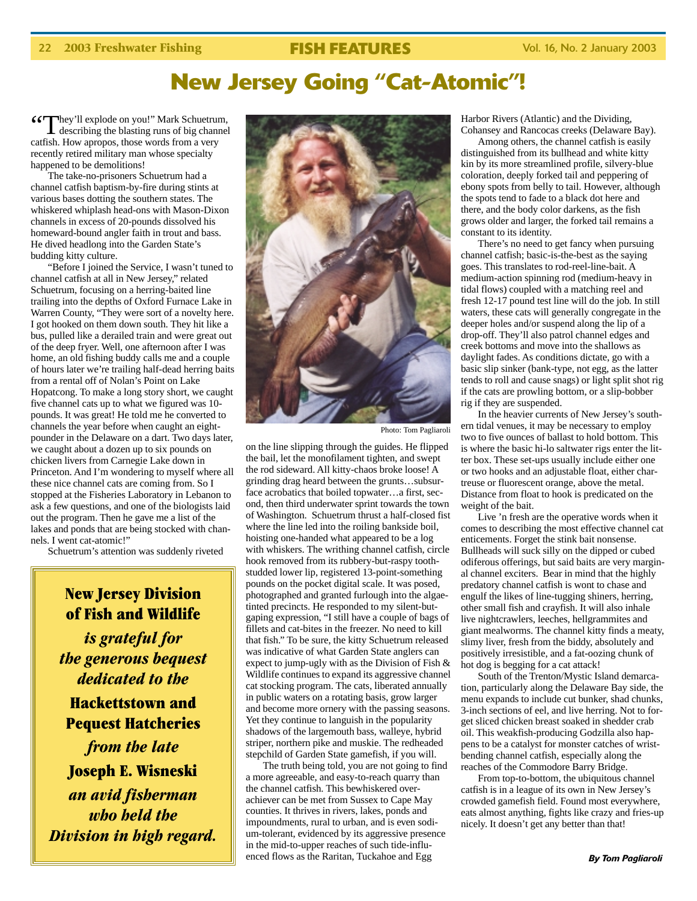## **New Jersey Going "Cat-Atomic"!**

"They'll explode on you!" Mark Schuetrum, describing the blasting runs of big channel catfish. How apropos, those words from a very recently retired military man whose specialty happened to be demolitions!

The take-no-prisoners Schuetrum had a channel catfish baptism-by-fire during stints at various bases dotting the southern states. The whiskered whiplash head-ons with Mason-Dixon channels in excess of 20-pounds dissolved his homeward-bound angler faith in trout and bass. He dived headlong into the Garden State's budding kitty culture.

"Before I joined the Service, I wasn't tuned to channel catfish at all in New Jersey," related Schuetrum, focusing on a herring-baited line trailing into the depths of Oxford Furnace Lake in Warren County, "They were sort of a novelty here. I got hooked on them down south. They hit like a bus, pulled like a derailed train and were great out of the deep fryer. Well, one afternoon after I was home, an old fishing buddy calls me and a couple of hours later we're trailing half-dead herring baits from a rental off of Nolan's Point on Lake Hopatcong. To make a long story short, we caught five channel cats up to what we figured was 10 pounds. It was great! He told me he converted to channels the year before when caught an eightpounder in the Delaware on a dart. Two days later, we caught about a dozen up to six pounds on chicken livers from Carnegie Lake down in Princeton. And I'm wondering to myself where all these nice channel cats are coming from. So I stopped at the Fisheries Laboratory in Lebanon to ask a few questions, and one of the biologists laid out the program. Then he gave me a list of the lakes and ponds that are being stocked with channels. I went cat-atomic!"

Schuetrum's attention was suddenly riveted

### **New Jersey Division of Fish and Wildlife**

*is grateful for the generous bequest dedicated to the*

**Hackettstown and Pequest Hatcheries**

*from the late* **Joseph E. Wisneski** *an avid fisherman who held the Division in high regard.*



Photo: Tom Pagliaroli

on the line slipping through the guides. He flipped the bail, let the monofilament tighten, and swept the rod sideward. All kitty-chaos broke loose! A grinding drag heard between the grunts…subsurface acrobatics that boiled topwater…a first, second, then third underwater sprint towards the town of Washington. Schuetrum thrust a half-closed fist where the line led into the roiling bankside boil, hoisting one-handed what appeared to be a log with whiskers. The writhing channel catfish, circle hook removed from its rubbery-but-raspy toothstudded lower lip, registered 13-point-something pounds on the pocket digital scale. It was posed, photographed and granted furlough into the algaetinted precincts. He responded to my silent-butgaping expression, "I still have a couple of bags of fillets and cat-bites in the freezer. No need to kill that fish." To be sure, the kitty Schuetrum released was indicative of what Garden State anglers can expect to jump-ugly with as the Division of Fish & Wildlife continues to expand its aggressive channel cat stocking program. The cats, liberated annually in public waters on a rotating basis, grow larger and become more ornery with the passing seasons. Yet they continue to languish in the popularity shadows of the largemouth bass, walleye, hybrid striper, northern pike and muskie. The redheaded stepchild of Garden State gamefish, if you will.

The truth being told, you are not going to find a more agreeable, and easy-to-reach quarry than the channel catfish. This bewhiskered overachiever can be met from Sussex to Cape May counties. It thrives in rivers, lakes, ponds and impoundments, rural to urban, and is even sodium-tolerant, evidenced by its aggressive presence in the mid-to-upper reaches of such tide-influenced flows as the Raritan, Tuckahoe and Egg

Harbor Rivers (Atlantic) and the Dividing, Cohansey and Rancocas creeks (Delaware Bay).

Among others, the channel catfish is easily distinguished from its bullhead and white kitty kin by its more streamlined profile, silvery-blue coloration, deeply forked tail and peppering of ebony spots from belly to tail. However, although the spots tend to fade to a black dot here and there, and the body color darkens, as the fish grows older and larger, the forked tail remains a constant to its identity.

There's no need to get fancy when pursuing channel catfish; basic-is-the-best as the saying goes. This translates to rod-reel-line-bait. A medium-action spinning rod (medium-heavy in tidal flows) coupled with a matching reel and fresh 12-17 pound test line will do the job. In still waters, these cats will generally congregate in the deeper holes and/or suspend along the lip of a drop-off. They'll also patrol channel edges and creek bottoms and move into the shallows as daylight fades. As conditions dictate, go with a basic slip sinker (bank-type, not egg, as the latter tends to roll and cause snags) or light split shot rig if the cats are prowling bottom, or a slip-bobber rig if they are suspended.

In the heavier currents of New Jersey's southern tidal venues, it may be necessary to employ two to five ounces of ballast to hold bottom. This is where the basic hi-lo saltwater rigs enter the litter box. These set-ups usually include either one or two hooks and an adjustable float, either chartreuse or fluorescent orange, above the metal. Distance from float to hook is predicated on the weight of the bait.

Live 'n fresh are the operative words when it comes to describing the most effective channel cat enticements. Forget the stink bait nonsense. Bullheads will suck silly on the dipped or cubed odiferous offerings, but said baits are very marginal channel exciters. Bear in mind that the highly predatory channel catfish is wont to chase and engulf the likes of line-tugging shiners, herring, other small fish and crayfish. It will also inhale live nightcrawlers, leeches, hellgrammites and giant mealworms. The channel kitty finds a meaty, slimy liver, fresh from the biddy, absolutely and positively irresistible, and a fat-oozing chunk of hot dog is begging for a cat attack!

South of the Trenton/Mystic Island demarcation, particularly along the Delaware Bay side, the menu expands to include cut bunker, shad chunks, 3-inch sections of eel, and live herring. Not to forget sliced chicken breast soaked in shedder crab oil. This weakfish-producing Godzilla also happens to be a catalyst for monster catches of wristbending channel catfish, especially along the reaches of the Commodore Barry Bridge.

From top-to-bottom, the ubiquitous channel catfish is in a league of its own in New Jersey's crowded gamefish field. Found most everywhere, eats almost anything, fights like crazy and fries-up nicely. It doesn't get any better than that!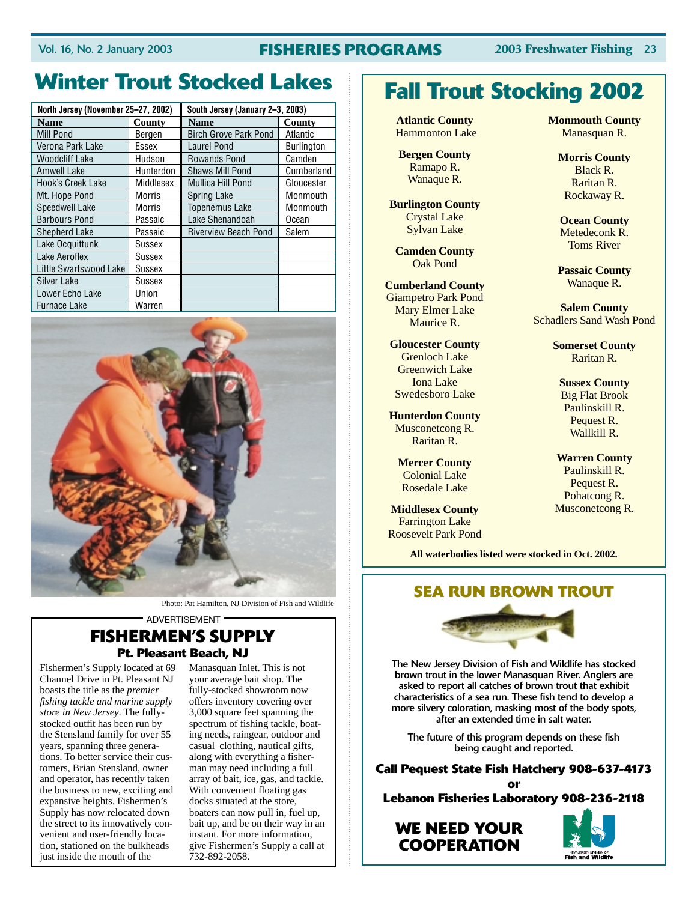### Vol. 16, No. 2 January 2003 **FISHERIES PROGRAMS 2003 Freshwater Fishing** 23

# **Winter Trout Stocked Lakes Fall Trout Stocking 2002**

| North Jersey (November 25-27, 2002) |           | South Jersey (January 2-3, 2003) |                   |  |
|-------------------------------------|-----------|----------------------------------|-------------------|--|
| Name                                | County    | Name                             | County            |  |
| Mill Pond                           | Bergen    | <b>Birch Grove Park Pond</b>     | Atlantic          |  |
| Verona Park Lake                    | Essex     | <b>Laurel Pond</b>               | <b>Burlington</b> |  |
| Woodcliff Lake                      | Hudson    | <b>Rowands Pond</b>              | Camden            |  |
| <b>Amwell Lake</b>                  | Hunterdon | <b>Shaws Mill Pond</b>           | Cumberland        |  |
| Hook's Creek Lake                   | Middlesex | <b>Mullica Hill Pond</b>         | Gloucester        |  |
| Mt. Hope Pond                       | Morris    | Spring Lake                      | Monmouth          |  |
| <b>Speedwell Lake</b>               | Morris    | <b>Topenemus Lake</b>            | Monmouth          |  |
| <b>Barbours Pond</b>                | Passaic   | Lake Shenandoah                  | Ocean             |  |
| <b>Shepherd Lake</b>                | Passaic   | <b>Riverview Beach Pond</b>      | Salem             |  |
| Lake Ocquittunk                     | Sussex    |                                  |                   |  |
| Lake Aeroflex                       | Sussex    |                                  |                   |  |
| Little Swartswood Lake              | Sussex    |                                  |                   |  |
| Silver Lake                         | Sussex    |                                  |                   |  |
| Lower Echo Lake                     | Union     |                                  |                   |  |
| <b>Furnace Lake</b>                 | Warren    |                                  |                   |  |



Photo: Pat Hamilton, NJ Division of Fish and Wildlife

#### ADVERTISEMENT

### **FISHERMEN'S SUPPLY Pt. Pleasant Beach, NJ**

Fishermen's Supply located at 69 Channel Drive in Pt. Pleasant NJ boasts the title as the *premier fishing tackle and marine supply store in New Jersey*. The fullystocked outfit has been run by the Stensland family for over 55 years, spanning three generations. To better service their customers, Brian Stensland, owner and operator, has recently taken the business to new, exciting and expansive heights. Fishermen's Supply has now relocated down the street to its innovatively convenient and user-friendly location, stationed on the bulkheads just inside the mouth of the

Manasquan Inlet. This is not your average bait shop. The fully-stocked showroom now offers inventory covering over 3,000 square feet spanning the spectrum of fishing tackle, boating needs, raingear, outdoor and casual clothing, nautical gifts, along with everything a fisherman may need including a full array of bait, ice, gas, and tackle. With convenient floating gas docks situated at the store, boaters can now pull in, fuel up, bait up, and be on their way in an instant. For more information, give Fishermen's Supply a call at 732-892-2058.

**Atlantic County** Hammonton Lake

**Bergen County** Ramapo R. Wanaque R.

**Burlington County** Crystal Lake Sylvan Lake

**Camden County** Oak Pond

**Cumberland County** Giampetro Park Pond Mary Elmer Lake Maurice R.

**Gloucester County** Grenloch Lake Greenwich Lake Iona Lake Swedesboro Lake

**Hunterdon County** Musconetcong R. Raritan R.

**Mercer County** Colonial Lake Rosedale Lake

**Middlesex County** Farrington Lake Roosevelt Park Pond **Monmouth County** Manasquan R.

> **Morris County** Black R. Raritan R. Rockaway R.

**Ocean County** Metedeconk R. Toms River

**Passaic County** Wanaque R.

**Salem County** Schadlers Sand Wash Pond

> **Somerset County** Raritan R.

**Sussex County** Big Flat Brook Paulinskill R. Pequest R. Wallkill R.

**Warren County** Paulinskill R. Pequest R. Pohatcong R. Musconetcong R.

**All waterbodies listed were stocked in Oct. 2002.**

### **SEA RUN BROWN TROUT**



The New Jersey Division of Fish and Wildlife has stocked brown trout in the lower Manasquan River. Anglers are asked to report all catches of brown trout that exhibit characteristics of a sea run. These fish tend to develop a more silvery coloration, masking most of the body spots, after an extended time in salt water.

The future of this program depends on these fish being caught and reported.

**Call Pequest State Fish Hatchery 908-637-4173 or Lebanon Fisheries Laboratory 908-236-2118**

**WE NEED YOUR COOPERATION**

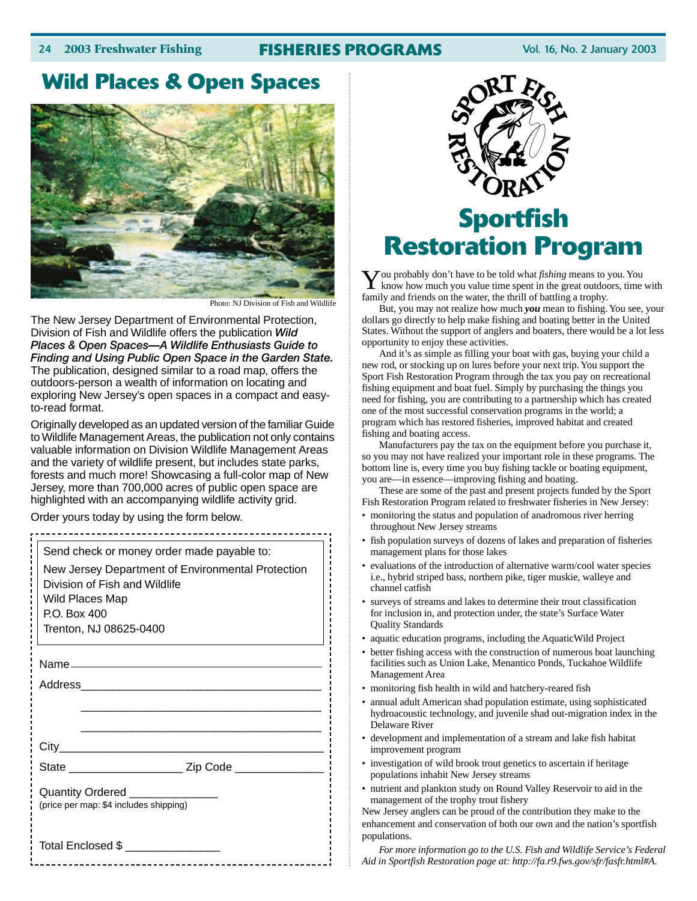### 24 **2003 Freshwater Fishing FISHERIES PROGRAMS** Vol. 16, No. 2 January 2003

### **Wild Places & Open Spaces**



Photo: NJ Division of Fish and Wildlife

The New Jersey Department of Environmental Protection, Division of Fish and Wildlife offers the publication *Wild Places & Open Spaces—A Wildlife Enthusiasts Guide to Finding and Using Public Open Space in the Garden State.* The publication, designed similar to a road map, offers the outdoors-person a wealth of information on locating and exploring New Jersey's open spaces in a compact and easyto-read format.

Originally developed as an updated version of the familiar Guide to Wildlife Management Areas, the publication not only contains valuable information on Division Wildlife Management Areas and the variety of wildlife present, but includes state parks, forests and much more! Showcasing a full-color map of New Jersey, more than 700,000 acres of public open space are highlighted with an accompanying wildlife activity grid.

Order yours today by using the form below.

| Send check or money order made payable to:                                         |                                                              |  |  |
|------------------------------------------------------------------------------------|--------------------------------------------------------------|--|--|
| New Jersey Department of Environmental Protection<br>Division of Fish and Wildlife |                                                              |  |  |
| Wild Places Map<br>P.O. Box 400                                                    |                                                              |  |  |
| Trenton, NJ 08625-0400                                                             |                                                              |  |  |
|                                                                                    |                                                              |  |  |
|                                                                                    |                                                              |  |  |
|                                                                                    |                                                              |  |  |
|                                                                                    |                                                              |  |  |
|                                                                                    |                                                              |  |  |
|                                                                                    | State ___________________________ Zip Code _________________ |  |  |
| Quantity Ordered _______________<br>(price per map: \$4 includes shipping)         |                                                              |  |  |
| Total Enclosed \$ ________________                                                 |                                                              |  |  |



# **Sportfish Restoration Program**

**Y** ou probably don't have to be told what *fishing* means to you. You know how much you value time spent in the great outdoors, time with family and friends on the water, the thrill of battling a trophy.

But, you may not realize how much *you* mean to fishing. You see, your dollars go directly to help make fishing and boating better in the United States. Without the support of anglers and boaters, there would be a lot less opportunity to enjoy these activities.

And it's as simple as filling your boat with gas, buying your child a new rod, or stocking up on lures before your next trip. You support the Sport Fish Restoration Program through the tax you pay on recreational fishing equipment and boat fuel. Simply by purchasing the things you need for fishing, you are contributing to a partnership which has created one of the most successful conservation programs in the world; a program which has restored fisheries, improved habitat and created fishing and boating access.

Manufacturers pay the tax on the equipment before you purchase it, so you may not have realized your important role in these programs. The bottom line is, every time you buy fishing tackle or boating equipment, you are—in essence—improving fishing and boating.

These are some of the past and present projects funded by the Sport Fish Restoration Program related to freshwater fisheries in New Jersey:

- monitoring the status and population of anadromous river herring throughout New Jersey streams
- fish population surveys of dozens of lakes and preparation of fisheries management plans for those lakes
- evaluations of the introduction of alternative warm/cool water species i.e., hybrid striped bass, northern pike, tiger muskie, walleye and channel catfish
- surveys of streams and lakes to determine their trout classification for inclusion in, and protection under, the state's Surface Water Quality Standards
- aquatic education programs, including the AquaticWild Project
- better fishing access with the construction of numerous boat launching facilities such as Union Lake, Menantico Ponds, Tuckahoe Wildlife Management Area
- monitoring fish health in wild and hatchery-reared fish
- annual adult American shad population estimate, using sophisticated hydroacoustic technology, and juvenile shad out-migration index in the Delaware River
- development and implementation of a stream and lake fish habitat improvement program
- investigation of wild brook trout genetics to ascertain if heritage populations inhabit New Jersey streams
- nutrient and plankton study on Round Valley Reservoir to aid in the management of the trophy trout fishery

New Jersey anglers can be proud of the contribution they make to the enhancement and conservation of both our own and the nation's sportfish populations.

*For more information go to the U.S. Fish and Wildlife Service's Federal Aid in Sportfish Restoration page at: http://fa.r9.fws.gov/sfr/fasfr.html#A.*